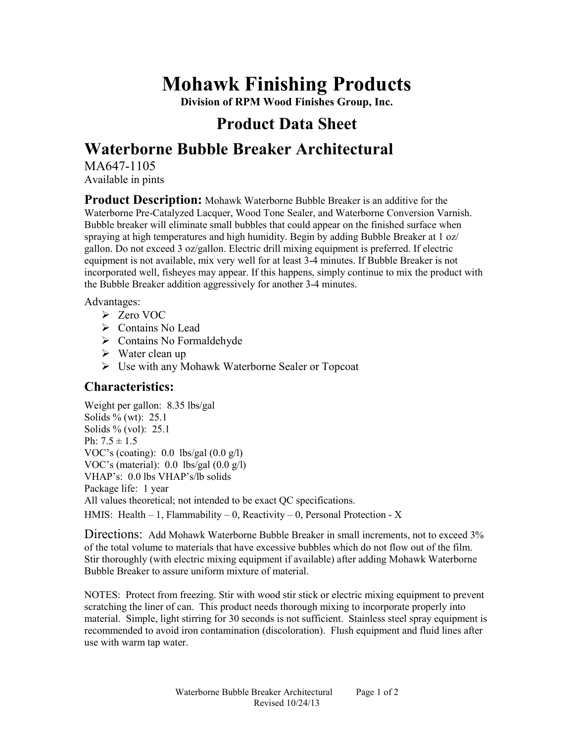# **Mohawk Finishing Products**

**Division of RPM Wood Finishes Group, Inc.** 

## **Product Data Sheet**

## **Waterborne Bubble Breaker Architectural**

MA647-1105 Available in pints

**Product Description:** Mohawk Waterborne Bubble Breaker is an additive for the Waterborne Pre-Catalyzed Lacquer, Wood Tone Sealer, and Waterborne Conversion Varnish. Bubble breaker will eliminate small bubbles that could appear on the finished surface when spraying at high temperatures and high humidity. Begin by adding Bubble Breaker at 1 oz/ gallon. Do not exceed 3 oz/gallon. Electric drill mixing equipment is preferred. If electric equipment is not available, mix very well for at least 3-4 minutes. If Bubble Breaker is not incorporated well, fisheyes may appear. If this happens, simply continue to mix the product with the Bubble Breaker addition aggressively for another 3-4 minutes.

Advantages:

- Zero VOC
- Contains No Lead
- $\triangleright$  Contains No Formaldehyde
- $\triangleright$  Water clean up
- Use with any Mohawk Waterborne Sealer or Topcoat

#### **Characteristics:**

Weight per gallon: 8.35 lbs/gal Solids  $\frac{6}{6}$  (wt): 25.1 Solids % (vol): 25.1 Ph:  $7.5 \pm 1.5$ VOC's (coating):  $0.0$  lbs/gal  $(0.0 \text{ g/l})$ VOC's (material): 0.0 lbs/gal (0.0 g/l) VHAP's: 0.0 lbs VHAP's/lb solids Package life: 1 year All values theoretical; not intended to be exact QC specifications. HMIS: Health  $-1$ , Flammability  $-0$ , Reactivity  $-0$ , Personal Protection - X

Directions: Add Mohawk Waterborne Bubble Breaker in small increments, not to exceed 3% of the total volume to materials that have excessive bubbles which do not flow out of the film. Stir thoroughly (with electric mixing equipment if available) after adding Mohawk Waterborne Bubble Breaker to assure uniform mixture of material.

NOTES: Protect from freezing. Stir with wood stir stick or electric mixing equipment to prevent scratching the liner of can. This product needs thorough mixing to incorporate properly into material. Simple, light stirring for 30 seconds is not sufficient. Stainless steel spray equipment is recommended to avoid iron contamination (discoloration). Flush equipment and fluid lines after use with warm tap water.